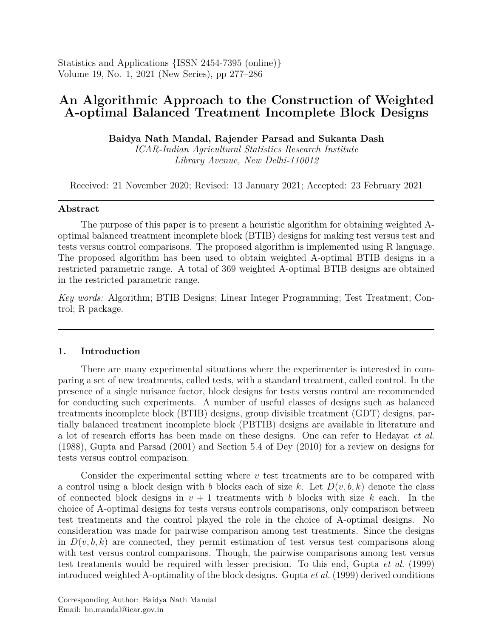Statistics and Applications {ISSN 2454-7395 (online)} Volume 19, No. 1, 2021 (New Series), pp 277–286

# **An Algorithmic Approach to the Construction of Weighted A-optimal Balanced Treatment Incomplete Block Designs**

**Baidya Nath Mandal, Rajender Parsad and Sukanta Dash**

*ICAR-Indian Agricultural Statistics Research Institute Library Avenue, New Delhi-110012*

Received: 21 November 2020; Revised: 13 January 2021; Accepted: 23 February 2021

## **Abstract**

The purpose of this paper is to present a heuristic algorithm for obtaining weighted Aoptimal balanced treatment incomplete block (BTIB) designs for making test versus test and tests versus control comparisons. The proposed algorithm is implemented using R language. The proposed algorithm has been used to obtain weighted A-optimal BTIB designs in a restricted parametric range. A total of 369 weighted A-optimal BTIB designs are obtained in the restricted parametric range.

*Key words:* Algorithm; BTIB Designs; Linear Integer Programming; Test Treatment; Control; R package.

# **1. Introduction**

There are many experimental situations where the experimenter is interested in comparing a set of new treatments, called tests, with a standard treatment, called control. In the presence of a single nuisance factor, block designs for tests versus control are recommended for conducting such experiments. A number of useful classes of designs such as balanced treatments incomplete block (BTIB) designs, group divisible treatment (GDT) designs, partially balanced treatment incomplete block (PBTIB) designs are available in literature and a lot of research efforts has been made on these designs. One can refer to Hedayat *et al.* (1988), Gupta and Parsad (2001) and Section 5.4 of Dey (2010) for a review on designs for tests versus control comparison.

Consider the experimental setting where *v* test treatments are to be compared with a control using a block design with *b* blocks each of size *k*. Let  $D(v, b, k)$  denote the class of connected block designs in  $v + 1$  treatments with *b* blocks with size *k* each. In the choice of A-optimal designs for tests versus controls comparisons, only comparison between test treatments and the control played the role in the choice of A-optimal designs. No consideration was made for pairwise comparison among test treatments. Since the designs in  $D(v, b, k)$  are connected, they permit estimation of test versus test comparisons along with test versus control comparisons. Though, the pairwise comparisons among test versus test treatments would be required with lesser precision. To this end, Gupta *et al.* (1999) introduced weighted A-optimality of the block designs. Gupta *et al.* (1999) derived conditions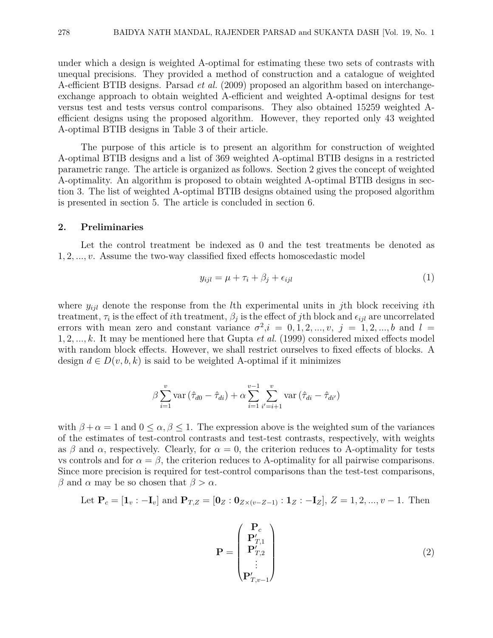under which a design is weighted A-optimal for estimating these two sets of contrasts with unequal precisions. They provided a method of construction and a catalogue of weighted A-efficient BTIB designs. Parsad *et al.* (2009) proposed an algorithm based on interchangeexchange approach to obtain weighted A-efficient and weighted A-optimal designs for test versus test and tests versus control comparisons. They also obtained 15259 weighted Aefficient designs using the proposed algorithm. However, they reported only 43 weighted A-optimal BTIB designs in Table 3 of their article.

The purpose of this article is to present an algorithm for construction of weighted A-optimal BTIB designs and a list of 369 weighted A-optimal BTIB designs in a restricted parametric range. The article is organized as follows. Section 2 gives the concept of weighted A-optimality. An algorithm is proposed to obtain weighted A-optimal BTIB designs in section 3. The list of weighted A-optimal BTIB designs obtained using the proposed algorithm is presented in section 5. The article is concluded in section 6.

#### **2. Preliminaries**

Let the control treatment be indexed as 0 and the test treatments be denoted as 1*,* 2*, ..., v*. Assume the two-way classified fixed effects homoscedastic model

$$
y_{ijl} = \mu + \tau_i + \beta_j + \epsilon_{ijl} \tag{1}
$$

where *yijl* denote the response from the *l*th experimental units in *j*th block receiving *i*th treatment,  $\tau_i$  is the effect of *i*th treatment,  $\beta_j$  is the effect of *j*th block and  $\epsilon_{ijl}$  are uncorrelated errors with mean zero and constant variance  $\sigma^2$ ,  $i = 0, 1, 2, ..., v$ ,  $j = 1, 2, ..., b$  and  $l =$ 1*,* 2*, ..., k*. It may be mentioned here that Gupta *et al.* (1999) considered mixed effects model with random block effects. However, we shall restrict ourselves to fixed effects of blocks. A design  $d \in D(v, b, k)$  is said to be weighted A-optimal if it minimizes

$$
\beta \sum_{i=1}^{v} \text{var}(\hat{\tau}_{d0} - \hat{\tau}_{di}) + \alpha \sum_{i=1}^{v-1} \sum_{i'=i+1}^{v} \text{var}(\hat{\tau}_{di} - \hat{\tau}_{di'})
$$

with  $\beta + \alpha = 1$  and  $0 \le \alpha, \beta \le 1$ . The expression above is the weighted sum of the variances of the estimates of test-control contrasts and test-test contrasts, respectively, with weights as  $\beta$  and  $\alpha$ , respectively. Clearly, for  $\alpha = 0$ , the criterion reduces to A-optimality for tests vs controls and for  $\alpha = \beta$ , the criterion reduces to A-optimality for all pairwise comparisons. Since more precision is required for test-control comparisons than the test-test comparisons, *β* and *α* may be so chosen that  $β > α$ .

Let 
$$
P_c = [\mathbf{1}_v : -\mathbf{I}_v]
$$
 and  $P_{T,Z} = [\mathbf{0}_Z : \mathbf{0}_{Z \times (v - Z - 1)} : \mathbf{1}_Z : -\mathbf{I}_Z], Z = 1, 2, ..., v - 1$ . Then

$$
\mathbf{P} = \begin{pmatrix} \mathbf{P}_c \\ \mathbf{P}_{T,1}' \\ \mathbf{P}_{T,2}' \\ \vdots \\ \mathbf{P}_{T,v-1}' \end{pmatrix}
$$
 (2)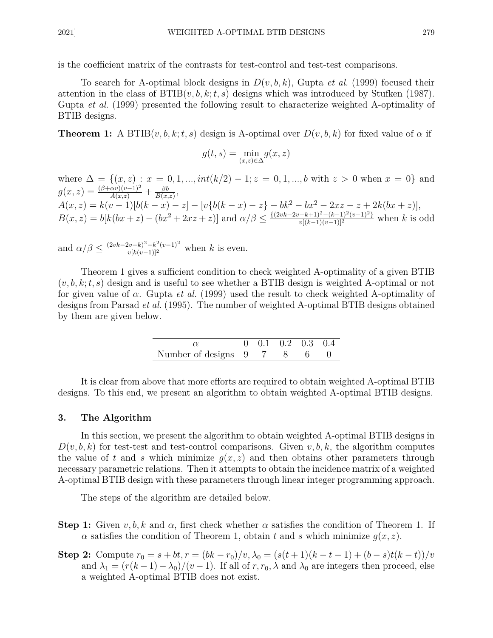is the coefficient matrix of the contrasts for test-control and test-test comparisons.

To search for A-optimal block designs in *D*(*v, b, k*), Gupta *et al.* (1999) focused their attention in the class of  $\text{BTIB}(v, b, k; t, s)$  designs which was introduced by Stufken (1987). Gupta *et al.* (1999) presented the following result to characterize weighted A-optimality of BTIB designs.

**Theorem 1:** A BTIB $(v, b, k; t, s)$  design is A-optimal over  $D(v, b, k)$  for fixed value of  $\alpha$  if

$$
g(t,s) = \min_{(x,z)\in\Delta} g(x,z)
$$

where  $\Delta = \{(x, z) : x = 0, 1, ..., int(k/2) - 1; z = 0, 1, ..., b \text{ with } z > 0 \text{ when } x = 0\}$  and  $g(x, z) = \frac{(\beta + \alpha v)(v-1)^2}{A(x, z)} + \frac{\beta b}{B(x, z)}$  $\frac{\beta b}{B(x,z)}$  $A(x, z) = k(v - 1)[b(k - x) - z] - [v{b(k - x) - z} - bk^2 - bx^2 - 2xz - z + 2k(bx + z)],$  $B(x, z) = b[k(bx + z) - (bx^{2} + 2xz + z)]$  and  $\alpha/\beta \leq \frac{\{(2vk - 2v - k + 1)^{2} - (k-1)^{2}(v-1)^{2}\}}{v[(k-1)(v-1)]^{2}}$  when k is odd

and  $\alpha/\beta \leq \frac{(2vk-2v-k)^2-k^2(v-1)^2}{v[k(v-1)]^2}$  when *k* is even.

Theorem 1 gives a sufficient condition to check weighted A-optimality of a given BTIB (*v, b, k*;*t, s*) design and is useful to see whether a BTIB design is weighted A-optimal or not for given value of *α*. Gupta *et al.* (1999) used the result to check weighted A-optimality of designs from Parsad *et al.* (1995). The number of weighted A-optimal BTIB designs obtained by them are given below.

|                             |  | $0 \quad 0.1 \quad 0.2 \quad 0.3 \quad 0.4$ |  |
|-----------------------------|--|---------------------------------------------|--|
| Number of designs 9 7 8 6 0 |  |                                             |  |

It is clear from above that more efforts are required to obtain weighted A-optimal BTIB designs. To this end, we present an algorithm to obtain weighted A-optimal BTIB designs.

#### **3. The Algorithm**

In this section, we present the algorithm to obtain weighted A-optimal BTIB designs in  $D(v, b, k)$  for test-test and test-control comparisons. Given  $v, b, k$ , the algorithm computes the value of t and s which minimize  $q(x, z)$  and then obtains other parameters through necessary parametric relations. Then it attempts to obtain the incidence matrix of a weighted A-optimal BTIB design with these parameters through linear integer programming approach.

The steps of the algorithm are detailed below.

- **Step 1:** Given  $v, b, k$  and  $\alpha$ , first check whether  $\alpha$  satisfies the condition of Theorem 1. If *α* satisfies the condition of Theorem 1, obtain *t* and *s* which minimize *g*(*x, z*).
- **Step 2:** Compute  $r_0 = s + bt, r = (bk r_0)/v, \lambda_0 = (s(t+1)(k-t-1) + (b-s)t(k-t))/v$ and  $\lambda_1 = (r(k-1) - \lambda_0)/(v-1)$ . If all of  $r, r_0, \lambda$  and  $\lambda_0$  are integers then proceed, else a weighted A-optimal BTIB does not exist.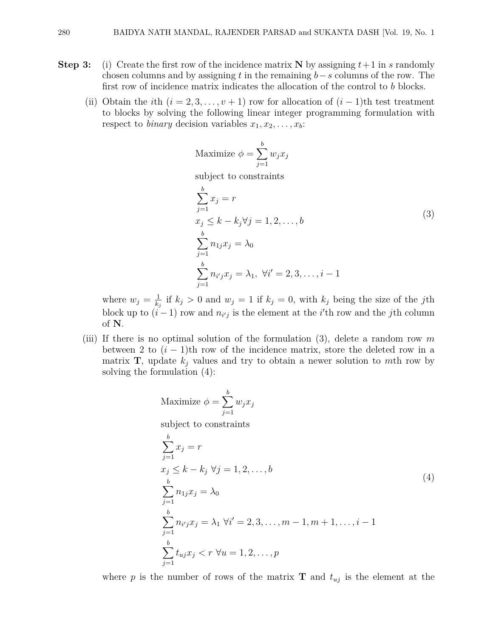- **Step 3:** (i) Create the first row of the incidence matrix **N** by assigning  $t+1$  in *s* randomly chosen columns and by assigning *t* in the remaining *b*−*s* columns of the row. The first row of incidence matrix indicates the allocation of the control to *b* blocks.
	- (ii) Obtain the *i*th  $(i = 2, 3, \ldots, v + 1)$  row for allocation of  $(i 1)$ th test treatment to blocks by solving the following linear integer programming formulation with respect to *binary* decision variables  $x_1, x_2, \ldots, x_b$ :

Maximize 
$$
\phi = \sum_{j=1}^{b} w_j x_j
$$

subject to constraints

$$
\sum_{j=1}^{b} x_j = r
$$
  
\n
$$
x_j \le k - k_j \forall j = 1, 2, ..., b
$$
  
\n
$$
\sum_{j=1}^{b} n_{1j} x_j = \lambda_0
$$
  
\n
$$
\sum_{j=1}^{b} n_{i'j} x_j = \lambda_1, \forall i' = 2, 3, ..., i - 1
$$
\n(3)

where  $w_j = \frac{1}{k}$  $\frac{1}{k_j}$  if  $k_j > 0$  and  $w_j = 1$  if  $k_j = 0$ , with  $k_j$  being the size of the *j*th block up to  $(i-1)$  row and  $n_{i'j}$  is the element at the *i*<sup>'</sup>th row and the *j*th column of **N**.

(iii) If there is no optimal solution of the formulation (3), delete a random row *m* between 2 to  $(i - 1)$ th row of the incidence matrix, store the deleted row in a matrix **T**, update  $k_j$  values and try to obtain a newer solution to *mth* row by solving the formulation (4):

Maximize 
$$
\phi = \sum_{j=1}^{b} w_j x_j
$$
  
\nsubject to constraints  
\n
$$
\sum_{j=1}^{b} x_j = r
$$
\n
$$
x_j \le k - k_j \ \forall j = 1, 2, ..., b
$$
\n
$$
\sum_{j=1}^{b} n_{1j} x_j = \lambda_0
$$
\n
$$
\sum_{j=1}^{b} n_{i'j} x_j = \lambda_1 \ \forall i' = 2, 3, ..., m - 1, m + 1, ..., i - 1
$$
\n
$$
\sum_{j=1}^{b} t_{uj} x_j < r \ \forall u = 1, 2, ..., p
$$
\n(4)

where *p* is the number of rows of the matrix **T** and  $t_{uj}$  is the element at the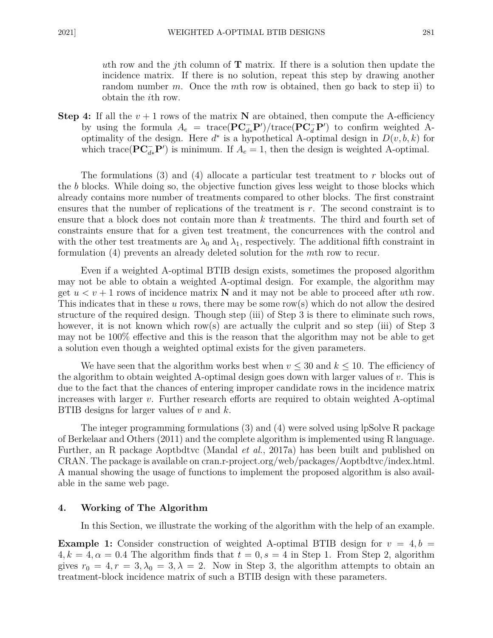*u*th row and the *j*th column of **T** matrix. If there is a solution then update the incidence matrix. If there is no solution, repeat this step by drawing another random number *m*. Once the *m*th row is obtained, then go back to step ii) to obtain the *i*th row.

**Step 4:** If all the  $v + 1$  rows of the matrix **N** are obtained, then compute the A-efficiency by using the formula  $A_e$  = trace( $\mathbf{PC}_{d*}^- \mathbf{P}'$ )/trace( $\mathbf{PC}_{d}^- \mathbf{P}'$ ) to confirm weighted Aoptimality of the design. Here  $d^*$  is a hypothetical A-optimal design in  $D(v, b, k)$  for which trace( $\mathbf{PC}_{d*}^- \mathbf{P}'$ ) is minimum. If  $A_e = 1$ , then the design is weighted A-optimal.

The formulations (3) and (4) allocate a particular test treatment to *r* blocks out of the *b* blocks. While doing so, the objective function gives less weight to those blocks which already contains more number of treatments compared to other blocks. The first constraint ensures that the number of replications of the treatment is *r*. The second constraint is to ensure that a block does not contain more than *k* treatments. The third and fourth set of constraints ensure that for a given test treatment, the concurrences with the control and with the other test treatments are  $\lambda_0$  and  $\lambda_1$ , respectively. The additional fifth constraint in formulation (4) prevents an already deleted solution for the *m*th row to recur.

Even if a weighted A-optimal BTIB design exists, sometimes the proposed algorithm may not be able to obtain a weighted A-optimal design. For example, the algorithm may get  $u < v + 1$  rows of incidence matrix  $N$  and it may not be able to proceed after *uth* row. This indicates that in these *u* rows, there may be some row(s) which do not allow the desired structure of the required design. Though step (iii) of Step 3 is there to eliminate such rows, however, it is not known which row(s) are actually the culprit and so step (iii) of Step 3 may not be 100% effective and this is the reason that the algorithm may not be able to get a solution even though a weighted optimal exists for the given parameters.

We have seen that the algorithm works best when  $v \leq 30$  and  $k \leq 10$ . The efficiency of the algorithm to obtain weighted A-optimal design goes down with larger values of *v*. This is due to the fact that the chances of entering improper candidate rows in the incidence matrix increases with larger *v*. Further research efforts are required to obtain weighted A-optimal BTIB designs for larger values of *v* and *k*.

The integer programming formulations (3) and (4) were solved using lpSolve R package of Berkelaar and Others (2011) and the complete algorithm is implemented using R language. Further, an R package Aoptbdtvc (Mandal *et al.*, 2017a) has been built and published on CRAN. The package is available on cran.r-project.org/web/packages/Aoptbdtvc/index.html. A manual showing the usage of functions to implement the proposed algorithm is also available in the same web page.

#### **4. Working of The Algorithm**

In this Section, we illustrate the working of the algorithm with the help of an example.

**Example 1:** Consider construction of weighted A-optimal BTIB design for  $v = 4, b = 1$  $4, k = 4, \alpha = 0.4$  The algorithm finds that  $t = 0, s = 4$  in Step 1. From Step 2, algorithm gives  $r_0 = 4, r = 3, \lambda_0 = 3, \lambda = 2$ . Now in Step 3, the algorithm attempts to obtain an treatment-block incidence matrix of such a BTIB design with these parameters.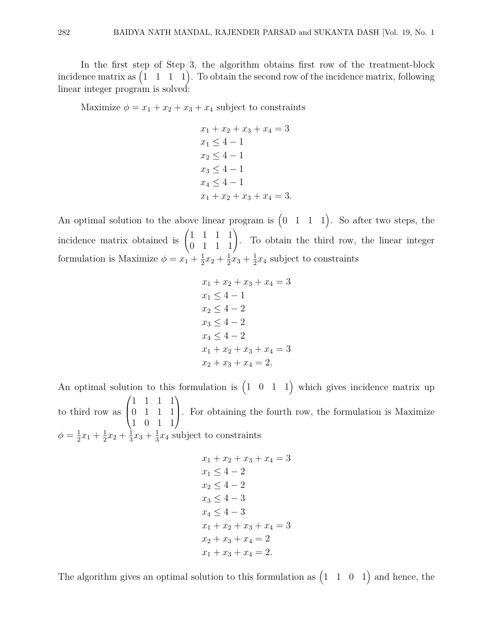In the first step of Step 3, the algorithm obtains first row of the treatment-block incidence matrix as  $(1 \quad 1 \quad 1 \quad 1)$ . To obtain the second row of the incidence matrix, following linear integer program is solved:

Maximize  $\phi = x_1 + x_2 + x_3 + x_4$  subject to constraints

 $x_1 + x_2 + x_3 + x_4 = 3$  $x_1 \leq 4 - 1$  $x_2 < 4 - 1$  $x_3 \leq 4 - 1$  $x_4 < 4 - 1$  $x_1 + x_2 + x_3 + x_4 = 3.$ 

An optimal solution to the above linear program is  $(0 \ 1 \ 1 \ 1)$ . So after two steps, the incidence matrix obtained is  $\begin{pmatrix} 1 & 1 & 1 & 1 \\ 0 & 1 & 1 & 1 \end{pmatrix}$ . To obtain the third row, the linear integer formulation is Maximize  $\phi = x_1 + \frac{1}{2}$  $rac{1}{2}x_2 + \frac{1}{2}$  $rac{1}{2}x_3 + \frac{1}{2}$  $\frac{1}{2}x_4$  subject to constraints

$$
x_1 + x_2 + x_3 + x_4 = 3
$$
  
\n
$$
x_1 \le 4 - 1
$$
  
\n
$$
x_2 \le 4 - 2
$$
  
\n
$$
x_3 \le 4 - 2
$$
  
\n
$$
x_4 \le 4 - 2
$$
  
\n
$$
x_1 + x_2 + x_3 + x_4 = 3
$$
  
\n
$$
x_2 + x_3 + x_4 = 2.
$$

An optimal solution to this formulation is  $(1 \ 0 \ 1 \ 1)$  which gives incidence matrix up to third row as  $\sqrt{ }$  $\overline{ }$ 1 1 1 1 0 1 1 1 1 0 1 1  $\setminus$ . For obtaining the fourth row, the formulation is Maximize  $\phi = \frac{1}{2}$  $\frac{1}{2}x_1 + \frac{1}{2}$  $rac{1}{2}x_2 + \frac{1}{3}$  $\frac{1}{3}x_3 + \frac{1}{3}$  $\frac{1}{3}x_4$  subject to constraints

$$
x_1 + x_2 + x_3 + x_4 = 3
$$
  
\n
$$
x_1 \le 4 - 2
$$
  
\n
$$
x_2 \le 4 - 2
$$
  
\n
$$
x_3 \le 4 - 3
$$
  
\n
$$
x_4 \le 4 - 3
$$
  
\n
$$
x_1 + x_2 + x_3 + x_4 = 3
$$
  
\n
$$
x_2 + x_3 + x_4 = 2
$$
  
\n
$$
x_1 + x_3 + x_4 = 2.
$$

The algorithm gives an optimal solution to this formulation as  $(1 \t1 \t0 \t1)$  and hence, the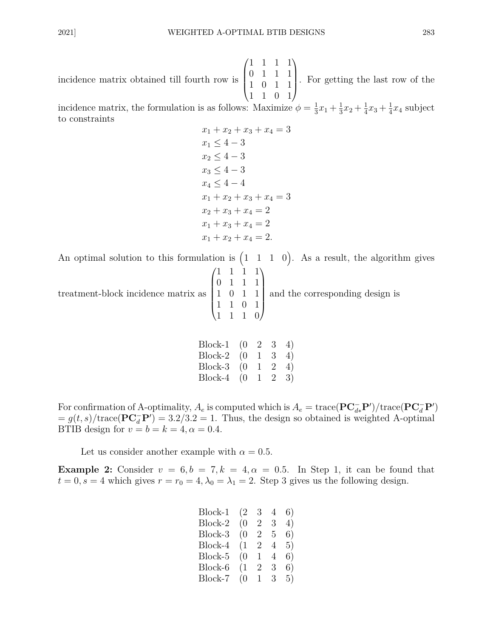incidence matrix obtained till fourth row is  $\sqrt{ }$  $\overline{\phantom{a}}$ 1 1 1 1 0 1 1 1 1 0 1 1 1 1 0 1  $\setminus$ . For getting the last row of the

incidence matrix, the formulation is as follows: Maximize  $\phi = \frac{1}{3}$  $\frac{1}{3}x_1 + \frac{1}{3}$  $\frac{1}{3}x_2 + \frac{1}{4}$  $\frac{1}{4}x_3 + \frac{1}{4}$  $\frac{1}{4}x_4$  subject to constraints

 $x_1 + x_2 + x_3 + x_4 = 3$  $x_1 < 4 - 3$  $x_2 < 4 - 3$  $x_3 \leq 4 - 3$  $x_4 < 4 - 4$  $x_1 + x_2 + x_3 + x_4 = 3$  $x_2 + x_3 + x_4 = 2$  $x_1 + x_3 + x_4 = 2$  $x_1 + x_2 + x_4 = 2.$ 

An optimal solution to this formulation is  $(1 \t1 \t1 \t0)$ . As a result, the algorithm gives

treatment-block incidence matrix as  $\sqrt{ }$  $\overline{\phantom{a}}$ 1 1 1 1 0 1 1 1 1 0 1 1 1 1 0 1 1 1 1 0  $\setminus$  $\begin{array}{c} \hline \end{array}$ and the corresponding design is

| Block-1 | (() | $\mathbf{2}$ | 3              | 4) |
|---------|-----|--------------|----------------|----|
| Block-2 | (0) | $\perp$      | 3              | 4) |
| Block-3 | 0)  |              | 2              | 4) |
| Block-4 | 0)  | $\mathbf{I}$ | $\overline{2}$ | 3) |

For confirmation of A-optimality,  $A_e$  is computed which is  $A_e = \text{trace}(\mathbf{PC}_{d*}^- \mathbf{P}')/\text{trace}(\mathbf{PC}_{d}^- \mathbf{P}')$  $g(t, s)/\text{trace}(\mathbf{PC}_d^{-} \mathbf{P}') = 3.2/3.2 = 1$ . Thus, the design so obtained is weighted A-optimal BTIB design for  $v = b = k = 4, \alpha = 0.4$ .

Let us consider another example with  $\alpha = 0.5$ .

**Example 2:** Consider  $v = 6, b = 7, k = 4, \alpha = 0.5$ . In Step 1, it can be found that  $t = 0, s = 4$  which gives  $r = r_0 = 4, \lambda_0 = \lambda_1 = 2$ . Step 3 gives us the following design.

| Block-1 | (2  | 3              | 4 | 6) |
|---------|-----|----------------|---|----|
| Block-2 | (0) | $\overline{2}$ | 3 | 4) |
| Block-3 | (0) | $\overline{2}$ | 5 | 6) |
| Block-4 | (1) | $\overline{2}$ | 4 | 5) |
| Block-5 | (0) | 1              | 4 | 6) |
| Block-6 | (1) | 2              | 3 | 6) |
| Block-7 | (0) | L              | 3 | 5) |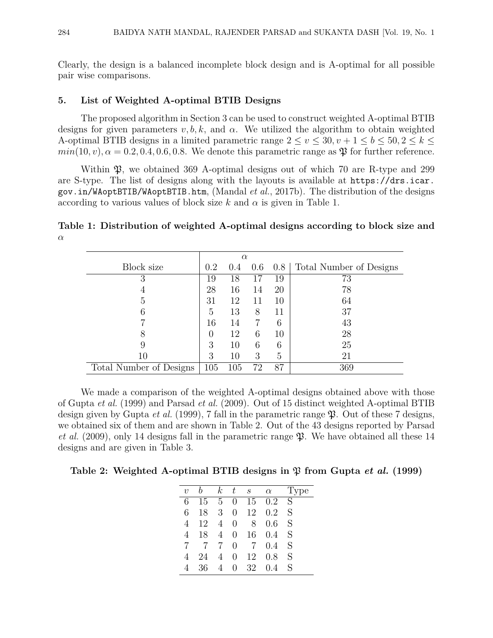Clearly, the design is a balanced incomplete block design and is A-optimal for all possible pair wise comparisons.

#### **5. List of Weighted A-optimal BTIB Designs**

The proposed algorithm in Section 3 can be used to construct weighted A-optimal BTIB designs for given parameters  $v, b, k$ , and  $\alpha$ . We utilized the algorithm to obtain weighted A-optimal BTIB designs in a limited parametric range  $2 \le v \le 30, v + 1 \le b \le 50, 2 \le k \le$  $min(10, v)$ ,  $\alpha = 0.2, 0.4, 0.6, 0.8$ . We denote this parametric range as  $\mathfrak{P}$  for further reference.

Within  $\mathfrak{B}$ , we obtained 369 A-optimal designs out of which 70 are R-type and 299 are S-type. The list of designs along with the layouts is available at https://drs.icar. gov.in/WAoptBTIB/WAoptBTIB.htm, (Mandal *et al.*, 2017b). The distribution of the designs according to various values of block size  $k$  and  $\alpha$  is given in Table 1.

**Table 1: Distribution of weighted A-optimal designs according to block size and** *α*

|                         | $\alpha$ |         |     |     |                         |  |
|-------------------------|----------|---------|-----|-----|-------------------------|--|
| Block size              | 0.2      | 0.4     | 0.6 | 0.8 | Total Number of Designs |  |
| 3                       | 19       | 18      | 17  | 19  | 73                      |  |
|                         | 28       | 16      | 14  | 20  | 78                      |  |
| 5                       | 31       | 12      | 11  | 10  | 64                      |  |
|                         | 5        | 13      | 8   | 11  | 37                      |  |
|                         | 16       | 14      |     | 6   | 43                      |  |
|                         |          | 12      | 6   | 10  | 28                      |  |
|                         | 3        | 10      | 6   | 6   | 25                      |  |
| 10                      | З        | 10      | 3   | 5   | 21                      |  |
| Total Number of Designs | 105      | $105\,$ | 72  | 87  | 369                     |  |

We made a comparison of the weighted A-optimal designs obtained above with those of Gupta *et al.* (1999) and Parsad *et al.* (2009). Out of 15 distinct weighted A-optimal BTIB design given by Gupta *et al.* (1999), 7 fall in the parametric range  $\mathfrak{P}$ . Out of these 7 designs, we obtained six of them and are shown in Table 2. Out of the 43 designs reported by Parsad *et al.* (2009), only 14 designs fall in the parametric range  $\mathfrak{P}$ . We have obtained all these 14 designs and are given in Table 3.

**Table 2: Weighted A-optimal BTIB designs in**  $\mathfrak{P}$  **from Gupta** *et al.* **(1999)** 

| $k_{-}$<br>$t_{-}$<br>$S_{-}$<br>$\alpha$<br>$\eta$         | рe |
|-------------------------------------------------------------|----|
|                                                             |    |
| S<br>0.2<br>6<br>$5\overline{)}$<br>15<br>15<br>0           |    |
| S<br>3 <sup>1</sup><br>12<br>6<br>0.2<br>18<br>0            |    |
| S<br>12<br>4<br>0.6<br>8<br>0<br>4                          |    |
| S<br>16<br>$\overline{4}$<br>0.4<br>18<br>0<br>4            |    |
| S<br>$\overline{7}$<br>$\overline{7}$<br>0.4<br>7<br>7<br>0 |    |
| S<br>12<br>0.8<br>24<br>4<br>0<br>4                         |    |
| S<br>32<br>4<br>36<br>0<br>0.4                              |    |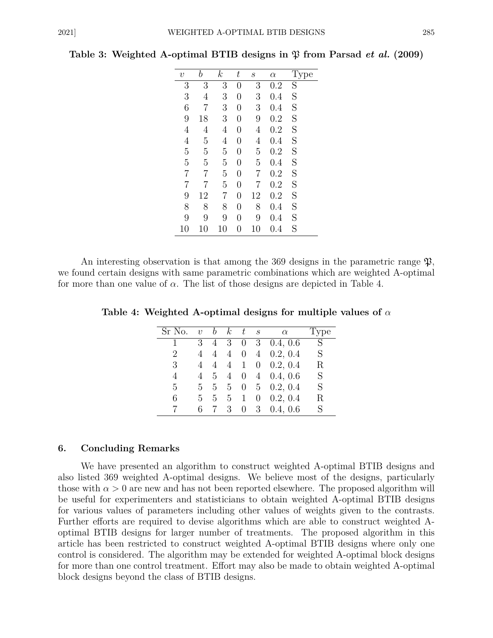| $\upsilon$     | b              | $\boldsymbol{k}$ | $\,t$          | $\mathcal{S}% _{M_{1},M_{2}}^{\alpha,\beta}(\varepsilon)$ | $\alpha$ |                         |
|----------------|----------------|------------------|----------------|-----------------------------------------------------------|----------|-------------------------|
| 3              | 3              | $\overline{3}$   | $\overline{0}$ | 3                                                         | 0.2      | $\overline{\mathrm{S}}$ |
| 3              | $\overline{4}$ | 3                | $\overline{0}$ | 3                                                         | 0.4      | S                       |
| 6              | $\overline{7}$ | 3                | $\overline{0}$ | 3                                                         | 0.4      | S                       |
| 9              | 18             | 3                | $\overline{0}$ | 9                                                         | 0.2      | S                       |
| $\overline{4}$ | $\overline{4}$ | 4                | $\overline{0}$ | $\overline{4}$                                            | 0.2      | S                       |
| $\overline{4}$ | $\overline{5}$ | $\overline{4}$   | $\overline{0}$ | $\overline{4}$                                            | 0.4      | S                       |
| 5              | $\overline{5}$ | 5                | $\overline{0}$ | $\overline{5}$                                            | 0.2      | S                       |
| $\overline{5}$ | $\overline{5}$ | $\overline{5}$   | $\overline{0}$ | $\overline{5}$                                            | $0.4\,$  | S                       |
| $\overline{7}$ | $\overline{7}$ | $\overline{5}$   | $\overline{0}$ | 7                                                         | 0.2      | S                       |
| $\overline{7}$ | 7              | $\overline{5}$   | $\overline{0}$ | $\overline{7}$                                            | 0.2      | S                       |
| 9              | 12             | 7                | $\overline{0}$ | 12                                                        | 0.2      | S                       |
| 8              | 8              | 8                | $\overline{0}$ | 8                                                         | 0.4      | S                       |
| 9              | 9              | 9                | $\overline{0}$ | 9                                                         | 0.4      | S                       |
| 10             | 10             | 10               | 0              | 10                                                        | $0.4\,$  | S                       |

**Table 3: Weighted A-optimal BTIB designs in**  $\mathfrak{P}$  **from Parsad** *et al.* **(2009)** 

An interesting observation is that among the 369 designs in the parametric range  $\mathfrak{P}$ , we found certain designs with same parametric combinations which are weighted A-optimal for more than one value of *α*. The list of those designs are depicted in Table 4.

**Table 4: Weighted A-optimal designs for multiple values of** *α*

| Sr No.         | $\upsilon$     | b               | $\kappa$       | t              | $\mathcal{S}_{\mathcal{S}}$ | $\alpha$          | Type |
|----------------|----------------|-----------------|----------------|----------------|-----------------------------|-------------------|------|
| 1              | 3 <sup>3</sup> | 4               | 3              | $\theta$       |                             | $3\quad 0.4, 0.6$ | S    |
| $\overline{2}$ | 4              | 4               | 4              | $\overline{0}$ |                             | $4\quad 0.2, 0.4$ | S    |
| 3              | 4              | 4               | 4              | $\mathbf{1}$   |                             | $0\quad 0.2, 0.4$ | R    |
| 4              | 4              | $5\overline{)}$ | 4              | $\overline{0}$ |                             | $4\quad 0.4, 0.6$ | S    |
| 5              | 5              | 5 <sub>1</sub>  | 5 <sub>5</sub> | $\overline{0}$ |                             | $5\quad 0.2, 0.4$ | S    |
| 6              | 5              | 5               | 5 <sub>5</sub> | $\mathbf{1}$   | $\theta$                    | 0.2, 0.4          | R    |
|                | 6              | $7\phantom{.0}$ | 3              | $\overline{0}$ |                             | $3\quad 0.4, 0.6$ | S    |

#### **6. Concluding Remarks**

We have presented an algorithm to construct weighted A-optimal BTIB designs and also listed 369 weighted A-optimal designs. We believe most of the designs, particularly those with  $\alpha > 0$  are new and has not been reported elsewhere. The proposed algorithm will be useful for experimenters and statisticians to obtain weighted A-optimal BTIB designs for various values of parameters including other values of weights given to the contrasts. Further efforts are required to devise algorithms which are able to construct weighted Aoptimal BTIB designs for larger number of treatments. The proposed algorithm in this article has been restricted to construct weighted A-optimal BTIB designs where only one control is considered. The algorithm may be extended for weighted A-optimal block designs for more than one control treatment. Effort may also be made to obtain weighted A-optimal block designs beyond the class of BTIB designs.